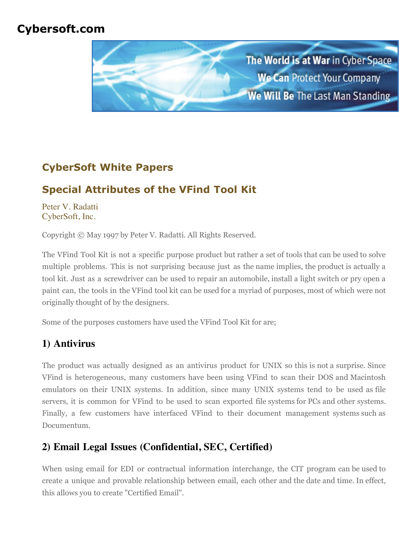## **Cybersoft.com**



# **CyberSoft White Papers**

# **Special Attributes of the VFind Tool Kit**

[Peter V. Radatti](mailto:radatti@cyber.com) [CyberSoft, Inc.](http://www.cybersoft.com/)

Copyright © May 1997 by Peter V. Radatti. All Rights Reserved.

The VFind Tool Kit is not a specific purpose product but rather a set of tools that can be used to solve multiple problems. This is not surprising because just as the name implies, the product is actually a tool kit. Just as a screwdriver can be used to repair an automobile, install a light switch or pry open a paint can, the tools in the VFind tool kit can be used for a myriad of purposes, most of which were not originally thought of by the designers.

Some of the purposes customers have used the VFind Tool Kit for are;

## **1) Antivirus**

The product was actually designed as an antivirus product for UNIX so this is not a surprise. Since VFind is heterogeneous, many customers have been using VFind to scan their DOS and Macintosh emulators on their UNIX systems. In addition, since many UNIX systems tend to be used as file servers, it is common for VFind to be used to scan exported file systems for PCs and other systems. Finally, a few customers have interfaced VFind to their document management systems such as Documentum.

## **2) Email Legal Issues (Confidential, SEC, Certified)**

When using email for EDI or contractual information interchange, the CIT program can be used to create a unique and provable relationship between email, each other and the date and time. In effect, this allows you to create "Certified Email".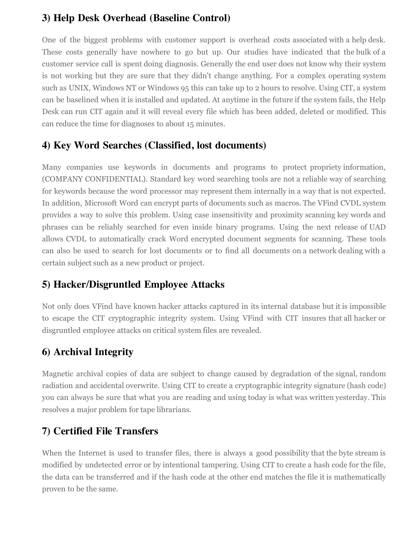#### **3) Help Desk Overhead (Baseline Control)**

One of the biggest problems with customer support is overhead costs associated with a help desk. These costs generally have nowhere to go but up. Our studies have indicated that the bulk of a customer service call is spent doing diagnosis. Generally the end user does not know why their system is not working but they are sure that they didn't change anything. For a complex operating system such as UNIX, Windows NT or Windows 95 this can take up to 2 hours to resolve. Using CIT, a system can be baselined when it is installed and updated. At anytime in the future if the system fails, the Help Desk can run CIT again and it will reveal every file which has been added, deleted or modified. This can reduce the time for diagnoses to about 15 minutes.

#### **4) Key Word Searches (Classified, lost documents)**

Many companies use keywords in documents and programs to protect propriety information, (COMPANY CONFIDENTIAL). Standard key word searching tools are not a reliable way of searching for keywords because the word processor may represent them internally in a way that is not expected. In addition, Microsoft Word can encrypt parts of documents such as macros. The VFind CVDL system provides a way to solve this problem. Using case insensitivity and proximity scanning key words and phrases can be reliably searched for even inside binary programs. Using the next release of UAD allows CVDL to automatically crack Word encrypted document segments for scanning. These tools can also be used to search for lost documents or to find all documents on a network dealing with a certain subject such as a new product or project.

#### **5) Hacker/Disgruntled Employee Attacks**

Not only does VFind have known hacker attacks captured in its internal database but it is impossible to escape the CIT cryptographic integrity system. Using VFind with CIT insures that all hacker or disgruntled employee attacks on critical system files are revealed.

## **6) Archival Integrity**

Magnetic archival copies of data are subject to change caused by degradation of the signal, random radiation and accidental overwrite. Using CIT to create a cryptographic integrity signature (hash code) you can always be sure that what you are reading and using today is what was written yesterday. This resolves a major problem for tape librarians.

#### **7) Certified File Transfers**

When the Internet is used to transfer files, there is always a good possibility that the byte stream is modified by undetected error or by intentional tampering. Using CIT to create a hash code for the file, the data can be transferred and if the hash code at the other end matches the file it is mathematically proven to be the same.